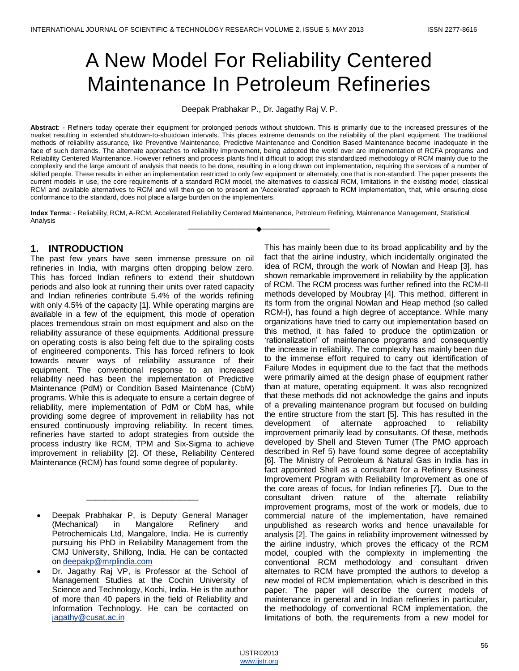# A New Model For Reliability Centered Maintenance In Petroleum Refineries

Deepak Prabhakar P., Dr. Jagathy Raj V. P.

**Abstract**: - Refiners today operate their equipment for prolonged periods without shutdown. This is primarily due to the increased pressures of the market resulting in extended shutdown-to-shutdown intervals. This places extreme demands on the reliability of the plant equipment. The traditional methods of reliability assurance, like Preventive Maintenance, Predictive Maintenance and Condition Based Maintenance become inadequate in the face of such demands. The alternate approaches to reliability improvement, being adopted the world over are implementation of RCFA programs and Reliability Centered Maintenance. However refiners and process plants find it difficult to adopt this standardized methodology of RCM mainly due to the complexity and the large amount of analysis that needs to be done, resulting in a long drawn out implementation, requiring the services of a number of skilled people. These results in either an implementation restricted to only few equipment or alternately, one that is non-standard. The paper presents the current models in use, the core requirements of a standard RCM model, the alternatives to classical RCM, limitations in the existing model, classical RCM and available alternatives to RCM and will then go on to present an 'Accelerated' approach to RCM implementation, that, while ensuring close conformance to the standard, does not place a large burden on the implementers.

**Index Terms**: - Reliability, RCM, A-RCM, Accelerated Reliability Centered Maintenance, Petroleum Refining, Maintenance Management, Statistical Analysis

————————————————————

# **1. INTRODUCTION**

The past few years have seen immense pressure on oil refineries in India, with margins often dropping below zero. This has forced Indian refiners to extend their shutdown periods and also look at running their units over rated capacity and Indian refineries contribute 5.4% of the worlds refining with only 4.5% of the capacity [1]. While operating margins are available in a few of the equipment, this mode of operation places tremendous strain on most equipment and also on the reliability assurance of these equipments. Additional pressure on operating costs is also being felt due to the spiraling costs of engineered components. This has forced refiners to look towards newer ways of reliability assurance of their equipment. The conventional response to an increased reliability need has been the implementation of Predictive Maintenance (PdM) or Condition Based Maintenance (CbM) programs. While this is adequate to ensure a certain degree of reliability, mere implementation of PdM or CbM has, while providing some degree of improvement in reliability has not ensured continuously improving reliability. In recent times, refineries have started to adopt strategies from outside the process industry like RCM, TPM and Six-Sigma to achieve improvement in reliability [2]. Of these, Reliability Centered Maintenance (RCM) has found some degree of popularity.

 Deepak Prabhakar P, is Deputy General Manager (Mechanical) in Mangalore Refinery and Petrochemicals Ltd, Mangalore, India. He is currently pursuing his PhD in Reliability Management from the CMJ University, Shillong, India. He can be contacted o[n deepakp@mrplindia.com](mailto:deepakp@mrplindia.com)

\_\_\_\_\_\_\_\_\_\_\_\_\_\_\_\_\_\_\_\_\_\_\_\_\_

 Dr. Jagathy Raj VP, is Professor at the School of Management Studies at the Cochin University of Science and Technology, Kochi, India. He is the author of more than 40 papers in the field of Reliability and Information Technology. He can be contacted on [jagathy@cusat.ac.in](mailto:jagathy@cusat.ac.in)

This has mainly been due to its broad applicability and by the fact that the airline industry, which incidentally originated the idea of RCM, through the work of Nowlan and Heap [3], has shown remarkable improvement in reliability by the application of RCM. The RCM process was further refined into the RCM-II methods developed by Moubray [4]. This method, different in its form from the original Nowlan and Heap method (so called RCM-I), has found a high degree of acceptance. While many organizations have tried to carry out implementation based on this method, it has failed to produce the optimization or ‗rationalization' of maintenance programs and consequently the increase in reliability. The complexity has mainly been due to the immense effort required to carry out identification of Failure Modes in equipment due to the fact that the methods were primarily aimed at the design phase of equipment rather than at mature, operating equipment. It was also recognized that these methods did not acknowledge the gains and inputs of a prevailing maintenance program but focused on building the entire structure from the start [5]. This has resulted in the development of alternate approached to reliability improvement primarily lead by consultants. Of these, methods developed by Shell and Steven Turner (The PMO approach described in Ref 5) have found some degree of acceptability [6]. The Ministry of Petroleum & Natural Gas in India has in fact appointed Shell as a consultant for a Refinery Business Improvement Program with Reliability Improvement as one of the core areas of focus, for Indian refineries [7]. Due to the consultant driven nature of the alternate reliability improvement programs, most of the work or models, due to commercial nature of the implementation, have remained unpublished as research works and hence unavailable for analysis [2]. The gains in reliability improvement witnessed by the airline industry, which proves the efficacy of the RCM model, coupled with the complexity in implementing the conventional RCM methodology and consultant driven alternates to RCM have prompted the authors to develop a new model of RCM implementation, which is described in this paper. The paper will describe the current models of maintenance in general and in Indian refineries in particular, the methodology of conventional RCM implementation, the limitations of both, the requirements from a new model for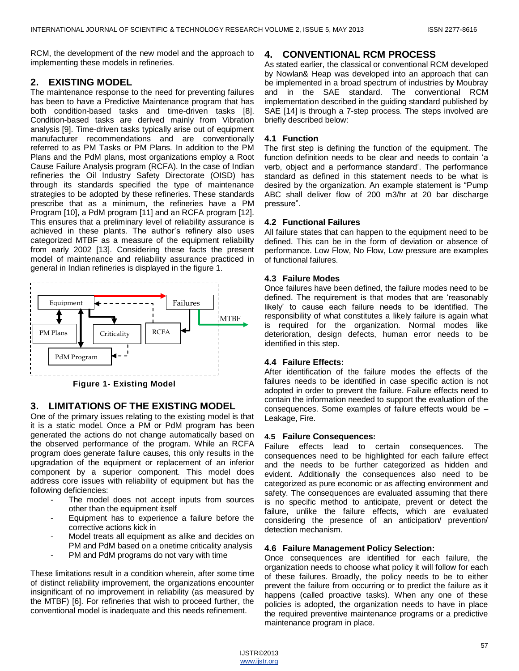RCM, the development of the new model and the approach to implementing these models in refineries.

# **2. EXISTING MODEL**

The maintenance response to the need for preventing failures has been to have a Predictive Maintenance program that has both condition-based tasks and time-driven tasks [8]. Condition-based tasks are derived mainly from Vibration analysis [9]. Time-driven tasks typically arise out of equipment manufacturer recommendations and are conventionally referred to as PM Tasks or PM Plans. In addition to the PM Plans and the PdM plans, most organizations employ a Root Cause Failure Analysis program (RCFA). In the case of Indian refineries the Oil Industry Safety Directorate (OISD) has through its standards specified the type of maintenance strategies to be adopted by these refineries. These standards prescribe that as a minimum, the refineries have a PM Program [10], a PdM program [11] and an RCFA program [12]. This ensures that a preliminary level of reliability assurance is achieved in these plants. The author's refinery also uses categorized MTBF as a measure of the equipment reliability from early 2002 [13]. Considering these facts the present model of maintenance and reliability assurance practiced in general in Indian refineries is displayed in the figure 1.



**Figure 1- Existing Model**

# **3. LIMITATIONS OF THE EXISTING MODEL**

One of the primary issues relating to the existing model is that it is a static model. Once a PM or PdM program has been generated the actions do not change automatically based on the observed performance of the program. While an RCFA program does generate failure causes, this only results in the upgradation of the equipment or replacement of an inferior component by a superior component. This model does address core issues with reliability of equipment but has the following deficiencies:

- The model does not accept inputs from sources other than the equipment itself
- Equipment has to experience a failure before the corrective actions kick in
- Model treats all equipment as alike and decides on PM and PdM based on a onetime criticality analysis
- PM and PdM programs do not vary with time

These limitations result in a condition wherein, after some time of distinct reliability improvement, the organizations encounter insignificant of no improvement in reliability (as measured by the MTBF) [6]. For refineries that wish to proceed further, the conventional model is inadequate and this needs refinement.

## **4. CONVENTIONAL RCM PROCESS**

As stated earlier, the classical or conventional RCM developed by Nowlan& Heap was developed into an approach that can be implemented in a broad spectrum of industries by Moubray and in the SAE standard. The conventional RCM implementation described in the guiding standard published by SAE [14] is through a 7-step process. The steps involved are briefly described below:

### **4.1 Function**

The first step is defining the function of the equipment. The function definition needs to be clear and needs to contain 'a verb, object and a performance standard'. The performance standard as defined in this statement needs to be what is desired by the organization. An example statement is "Pump" ABC shall deliver flow of 200 m3/hr at 20 bar discharge pressure".

### **4.2 Functional Failures**

All failure states that can happen to the equipment need to be defined. This can be in the form of deviation or absence of performance. Low Flow, No Flow, Low pressure are examples of functional failures.

### **4.3 Failure Modes**

Once failures have been defined, the failure modes need to be defined. The requirement is that modes that are 'reasonably likely' to cause each failure needs to be identified. The responsibility of what constitutes a likely failure is again what is required for the organization. Normal modes like deterioration, design defects, human error needs to be identified in this step.

#### **4.4 Failure Effects:**

After identification of the failure modes the effects of the failures needs to be identified in case specific action is not adopted in order to prevent the failure. Failure effects need to contain the information needed to support the evaluation of the consequences. Some examples of failure effects would be – Leakage, Fire.

#### **4.5 Failure Consequences:**

Failure effects lead to certain consequences. The consequences need to be highlighted for each failure effect and the needs to be further categorized as hidden and evident. Additionally the consequences also need to be categorized as pure economic or as affecting environment and safety. The consequences are evaluated assuming that there is no specific method to anticipate, prevent or detect the failure, unlike the failure effects, which are evaluated considering the presence of an anticipation/ prevention/ detection mechanism.

#### **4.6 Failure Management Policy Selection:**

Once consequences are identified for each failure, the organization needs to choose what policy it will follow for each of these failures. Broadly, the policy needs to be to either prevent the failure from occurring or to predict the failure as it happens (called proactive tasks). When any one of these policies is adopted, the organization needs to have in place the required preventive maintenance programs or a predictive maintenance program in place.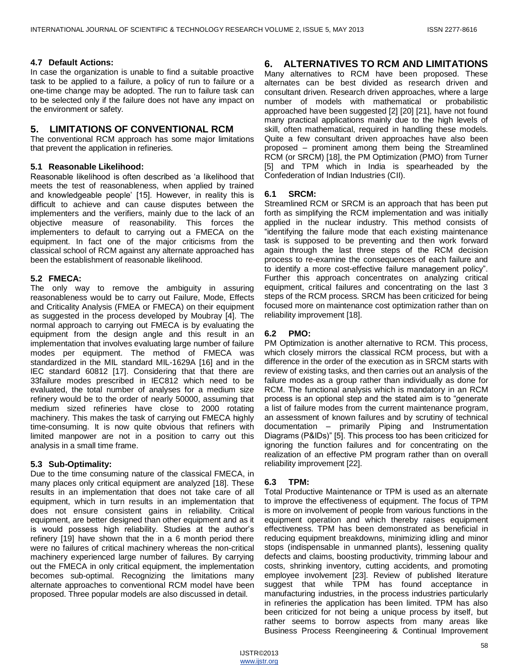#### **4.7 Default Actions:**

In case the organization is unable to find a suitable proactive task to be applied to a failure, a policy of run to failure or a one-time change may be adopted. The run to failure task can to be selected only if the failure does not have any impact on the environment or safety.

## **5. LIMITATIONS OF CONVENTIONAL RCM**

The conventional RCM approach has some major limitations that prevent the application in refineries.

### **5.1 Reasonable Likelihood:**

Reasonable likelihood is often described as 'a likelihood that meets the test of reasonableness, when applied by trained and knowledgeable people' [15]. However, in reality this is difficult to achieve and can cause disputes between the implementers and the verifiers, mainly due to the lack of an objective measure of reasonability. This forces the implementers to default to carrying out a FMECA on the equipment. In fact one of the major criticisms from the classical school of RCM against any alternate approached has been the establishment of reasonable likelihood.

### **5.2 FMECA:**

The only way to remove the ambiguity in assuring reasonableness would be to carry out Failure, Mode, Effects and Criticality Analysis (FMEA or FMECA) on their equipment as suggested in the process developed by Moubray [4]. The normal approach to carrying out FMECA is by evaluating the equipment from the design angle and this result in an implementation that involves evaluating large number of failure modes per equipment. The method of FMECA was standardized in the MIL standard MIL-1629A [16] and in the IEC standard 60812 [17]. Considering that that there are 33failure modes prescribed in IEC812 which need to be evaluated, the total number of analyses for a medium size refinery would be to the order of nearly 50000, assuming that medium sized refineries have close to 2000 rotating machinery. This makes the task of carrying out FMECA highly time-consuming. It is now quite obvious that refiners with limited manpower are not in a position to carry out this analysis in a small time frame.

## **5.3 Sub-Optimality:**

Due to the time consuming nature of the classical FMECA, in many places only critical equipment are analyzed [18]. These results in an implementation that does not take care of all equipment, which in turn results in an implementation that does not ensure consistent gains in reliability. Critical equipment, are better designed than other equipment and as it is would possess high reliability. Studies at the author's refinery [19] have shown that the in a 6 month period there were no failures of critical machinery whereas the non-critical machinery experienced large number of failures. By carrying out the FMECA in only critical equipment, the implementation becomes sub-optimal. Recognizing the limitations many alternate approaches to conventional RCM model have been proposed. Three popular models are also discussed in detail.

# **6. ALTERNATIVES TO RCM AND LIMITATIONS**

Many alternatives to RCM have been proposed. These alternates can be best divided as research driven and consultant driven. Research driven approaches, where a large number of models with mathematical or probabilistic approached have been suggested [2] [20] [21], have not found many practical applications mainly due to the high levels of skill, often mathematical, required in handling these models. Quite a few consultant driven approaches have also been proposed – prominent among them being the Streamlined RCM (or SRCM) [18], the PM Optimization (PMO) from Turner [5] and TPM which in India is spearheaded by the Confederation of Indian Industries (CII).

## **6.1 SRCM:**

Streamlined RCM or SRCM is an approach that has been put forth as simplifying the RCM implementation and was initially applied in the nuclear industry. This method consists of "identifying the failure mode that each existing maintenance task is supposed to be preventing and then work forward again through the last three steps of the RCM decision process to re-examine the consequences of each failure and to identify a more cost-effective failure management policy". Further this approach concentrates on analyzing critical equipment, critical failures and concentrating on the last 3 steps of the RCM process. SRCM has been criticized for being focused more on maintenance cost optimization rather than on reliability improvement [18].

## **6.2 PMO:**

PM Optimization is another alternative to RCM. This process, which closely mirrors the classical RCM process, but with a difference in the order of the execution as in SRCM starts with review of existing tasks, and then carries out an analysis of the failure modes as a group rather than individually as done for RCM. The functional analysis which is mandatory in an RCM process is an optional step and the stated aim is to "generate a list of failure modes from the current maintenance program, an assessment of known failures and by scrutiny of technical documentation – primarily Piping and Instrumentation Diagrams (P&IDs)" [5]. This process too has been criticized for ignoring the function failures and for concentrating on the realization of an effective PM program rather than on overall reliability improvement [22].

## **6.3 TPM:**

Total Productive Maintenance or TPM is used as an alternate to improve the effectiveness of equipment. The focus of TPM is more on involvement of people from various functions in the equipment operation and which thereby raises equipment effectiveness. TPM has been demonstrated as beneficial in reducing equipment breakdowns, minimizing idling and minor stops (indispensable in unmanned plants), lessening quality defects and claims, boosting productivity, trimming labour and costs, shrinking inventory, cutting accidents, and promoting employee involvement [23]. Review of published literature suggest that while TPM has found acceptance in manufacturing industries, in the process industries particularly in refineries the application has been limited. TPM has also been criticized for not being a unique process by itself, but rather seems to borrow aspects from many areas like Business Process Reengineering & Continual Improvement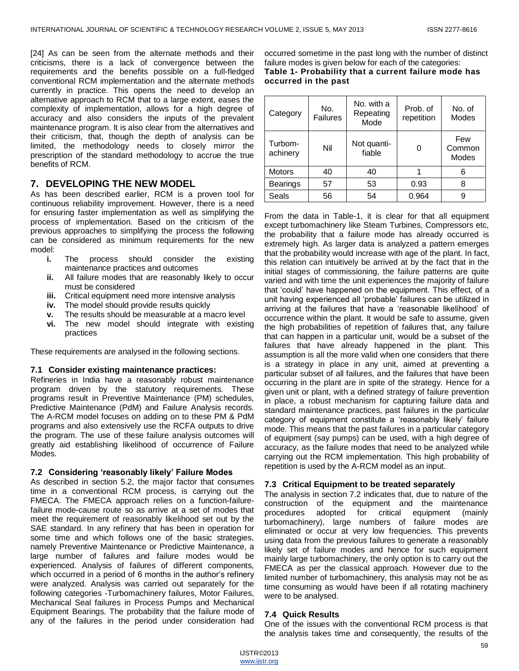[24] As can be seen from the alternate methods and their criticisms, there is a lack of convergence between the requirements and the benefits possible on a full-fledged conventional RCM implementation and the alternate methods currently in practice. This opens the need to develop an alternative approach to RCM that to a large extent, eases the complexity of implementation, allows for a high degree of accuracy and also considers the inputs of the prevalent maintenance program. It is also clear from the alternatives and their criticism, that, though the depth of analysis can be limited, the methodology needs to closely mirror the prescription of the standard methodology to accrue the true benefits of RCM.

# **7. DEVELOPING THE NEW MODEL**

As has been described earlier, RCM is a proven tool for continuous reliability improvement. However, there is a need for ensuring faster implementation as well as simplifying the process of implementation. Based on the criticism of the previous approaches to simplifying the process the following can be considered as minimum requirements for the new model:

- **i.** The process should consider the existing maintenance practices and outcomes
- **ii.** All failure modes that are reasonably likely to occur must be considered
- **iii.** Critical equipment need more intensive analysis
- **iv.** The model should provide results quickly
- **v.** The results should be measurable at a macro level
- **vi.** The new model should integrate with existing practices

These requirements are analysed in the following sections.

#### **7.1 Consider existing maintenance practices:**

Refineries in India have a reasonably robust maintenance program driven by the statutory requirements. These programs result in Preventive Maintenance (PM) schedules, Predictive Maintenance (PdM) and Failure Analysis records. The A-RCM model focuses on adding on to these PM & PdM programs and also extensively use the RCFA outputs to drive the program. The use of these failure analysis outcomes will greatly aid establishing likelihood of occurrence of Failure Modes.

#### **7.2 Considering 'reasonably likely' Failure Modes**

As described in section 5.2, the major factor that consumes time in a conventional RCM process, is carrying out the FMECA. The FMECA approach relies on a function-failurefailure mode-cause route so as arrive at a set of modes that meet the requirement of reasonably likelihood set out by the SAE standard. In any refinery that has been in operation for some time and which follows one of the basic strategies, namely Preventive Maintenance or Predictive Maintenance, a large number of failures and failure modes would be experienced. Analysis of failures of different components, which occurred in a period of 6 months in the author's refinery were analyzed. Analysis was carried out separately for the following categories -Turbomachinery failures, Motor Failures, Mechanical Seal failures in Process Pumps and Mechanical Equipment Bearings. The probability that the failure mode of any of the failures in the period under consideration had

occurred sometime in the past long with the number of distinct failure modes is given below for each of the categories: **Table 1- Probability that a current failure mode has occurred in the past**

| Category            | No.<br><b>Failures</b> | No. with a<br>Repeating<br>Mode | Prob. of<br>repetition | No. of<br><b>Modes</b>        |
|---------------------|------------------------|---------------------------------|------------------------|-------------------------------|
| Turbom-<br>achinery | Nil                    | Not quanti-<br>fiable           |                        | Few<br>Common<br><b>Modes</b> |
| <b>Motors</b>       | 40                     | 40                              |                        | 6                             |
| <b>Bearings</b>     | 57                     | 53                              | 0.93                   | 8                             |
| Seals               | 56                     | 54                              | 0.964                  | 9                             |

From the data in Table-1, it is clear for that all equipment except turbomachinery like Steam Turbines, Compressors etc, the probability that a failure mode has already occurred is extremely high. As larger data is analyzed a pattern emerges that the probability would increase with age of the plant. In fact, this relation can intuitively be arrived at by the fact that in the initial stages of commissioning, the failure patterns are quite varied and with time the unit experiences the majority of failure that 'could' have happened on the equipment. This effect, of a unit having experienced all ‗probable' failures can be utilized in arriving at the failures that have a 'reasonable likelihood' of occurrence within the plant. It would be safe to assume, given the high probabilities of repetition of failures that, any failure that can happen in a particular unit, would be a subset of the failures that have already happened in the plant. This assumption is all the more valid when one considers that there is a strategy in place in any unit, aimed at preventing a particular subset of all failures, and the failures that have been occurring in the plant are in spite of the strategy. Hence for a given unit or plant, with a defined strategy of failure prevention in place, a robust mechanism for capturing failure data and standard maintenance practices, past failures in the particular category of equipment constitute a 'reasonably likely' failure mode. This means that the past failures in a particular category of equipment (say pumps) can be used, with a high degree of accuracy, as the failure modes that need to be analyzed while carrying out the RCM implementation. This high probability of repetition is used by the A-RCM model as an input.

#### **7.3 Critical Equipment to be treated separately**

The analysis in section 7.2 indicates that, due to nature of the construction of the equipment and the maintenance procedures adopted for critical equipment (mainly turbomachinery), large numbers of failure modes are eliminated or occur at very low frequencies. This prevents using data from the previous failures to generate a reasonably likely set of failure modes and hence for such equipment mainly large turbomachinery, the only option is to carry out the FMECA as per the classical approach. However due to the limited number of turbomachinery, this analysis may not be as time consuming as would have been if all rotating machinery were to be analysed.

#### **7.4 Quick Results**

One of the issues with the conventional RCM process is that the analysis takes time and consequently, the results of the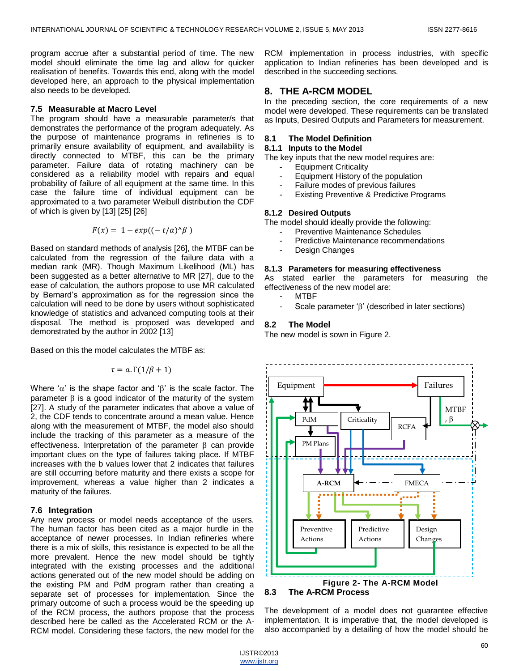program accrue after a substantial period of time. The new model should eliminate the time lag and allow for quicker realisation of benefits. Towards this end, along with the model developed here, an approach to the physical implementation also needs to be developed.

#### **7.5 Measurable at Macro Level**

The program should have a measurable parameter/s that demonstrates the performance of the program adequately. As the purpose of maintenance programs in refineries is to primarily ensure availability of equipment, and availability is directly connected to MTBF, this can be the primary parameter. Failure data of rotating machinery can be considered as a reliability model with repairs and equal probability of failure of all equipment at the same time. In this case the failure time of individual equipment can be approximated to a two parameter Weibull distribution the CDF of which is given by [13] [25] [26]

$$
F(x) = 1 - exp((-t/\alpha)^{\wedge}\beta)
$$

Based on standard methods of analysis [26], the MTBF can be calculated from the regression of the failure data with a median rank (MR). Though Maximum Likelihood (ML) has been suggested as a better alternative to MR [27], due to the ease of calculation, the authors propose to use MR calculated by Bernard's approximation as for the regression since the calculation will need to be done by users without sophisticated knowledge of statistics and advanced computing tools at their disposal. The method is proposed was developed and demonstrated by the author in 2002 [13]

Based on this the model calculates the MTBF as:

$$
\tau = a.\Gamma(1/\beta + 1)
$$

Where ' $\alpha$ ' is the shape factor and ' $\beta$ ' is the scale factor. The parameter  $\beta$  is a good indicator of the maturity of the system [27]. A study of the parameter indicates that above a value of 2, the CDF tends to concentrate around a mean value. Hence along with the measurement of MTBF, the model also should include the tracking of this parameter as a measure of the effectiveness. Interpretation of the parameter  $\beta$  can provide important clues on the type of failures taking place. If MTBF increases with the b values lower that 2 indicates that failures are still occurring before maturity and there exists a scope for improvement, whereas a value higher than 2 indicates a maturity of the failures.

## **7.6 Integration**

Any new process or model needs acceptance of the users. The human factor has been cited as a major hurdle in the acceptance of newer processes. In Indian refineries where there is a mix of skills, this resistance is expected to be all the more prevalent. Hence the new model should be tightly integrated with the existing processes and the additional actions generated out of the new model should be adding on the existing PM and PdM program rather than creating a separate set of processes for implementation. Since the primary outcome of such a process would be the speeding up of the RCM process, the authors propose that the process described here be called as the Accelerated RCM or the A-RCM model. Considering these factors, the new model for the RCM implementation in process industries, with specific application to Indian refineries has been developed and is described in the succeeding sections.

# **8. THE A-RCM MODEL**

In the preceding section, the core requirements of a new model were developed. These requirements can be translated as Inputs, Desired Outputs and Parameters for measurement.

### **8.1 The Model Definition**

## **8.1.1 Inputs to the Model**

The key inputs that the new model requires are:

- Equipment Criticality
- Equipment History of the population
- Failure modes of previous failures
- Existing Preventive & Predictive Programs

#### **8.1.2 Desired Outputs**

The model should ideally provide the following:

- Preventive Maintenance Schedules
- Predictive Maintenance recommendations
- Design Changes

# **8.1.3 Parameters for measuring effectiveness**

As stated earlier the parameters for measuring the effectiveness of the new model are:

- MTBF
	- Scale parameter ' $\beta'$  (described in later sections)

## **8.2 The Model**

The new model is sown in Figure 2.



#### **8.3 The A-RCM Process**

The development of a model does not guarantee effective implementation. It is imperative that, the model developed is also accompanied by a detailing of how the model should be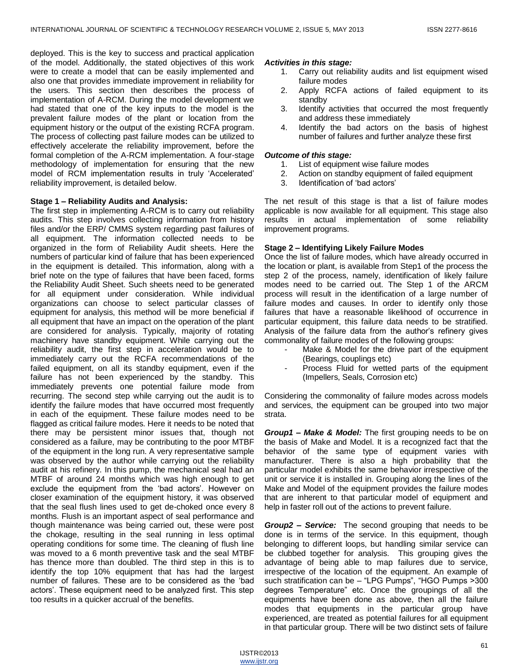deployed. This is the key to success and practical application of the model. Additionally, the stated objectives of this work were to create a model that can be easily implemented and also one that provides immediate improvement in reliability for the users. This section then describes the process of implementation of A-RCM. During the model development we had stated that one of the key inputs to the model is the prevalent failure modes of the plant or location from the equipment history or the output of the existing RCFA program. The process of collecting past failure modes can be utilized to effectively accelerate the reliability improvement, before the formal completion of the A-RCM implementation. A four-stage methodology of implementation for ensuring that the new model of RCM implementation results in truly 'Accelerated' reliability improvement, is detailed below.

#### **Stage 1 – Reliability Audits and Analysis:**

The first step in implementing A-RCM is to carry out reliability audits. This step involves collecting information from history files and/or the ERP/ CMMS system regarding past failures of all equipment. The information collected needs to be organized in the form of Reliability Audit sheets. Here the numbers of particular kind of failure that has been experienced in the equipment is detailed. This information, along with a brief note on the type of failures that have been faced, forms the Reliability Audit Sheet. Such sheets need to be generated for all equipment under consideration. While individual organizations can choose to select particular classes of equipment for analysis, this method will be more beneficial if all equipment that have an impact on the operation of the plant are considered for analysis. Typically, majority of rotating machinery have standby equipment. While carrying out the reliability audit, the first step in acceleration would be to immediately carry out the RCFA recommendations of the failed equipment, on all its standby equipment, even if the failure has not been experienced by the standby. This immediately prevents one potential failure mode from recurring. The second step while carrying out the audit is to identify the failure modes that have occurred most frequently in each of the equipment. These failure modes need to be flagged as critical failure modes. Here it needs to be noted that there may be persistent minor issues that, though not considered as a failure, may be contributing to the poor MTBF of the equipment in the long run. A very representative sample was observed by the author while carrying out the reliability audit at his refinery. In this pump, the mechanical seal had an MTBF of around 24 months which was high enough to get exclude the equipment from the 'bad actors'. However on closer examination of the equipment history, it was observed that the seal flush lines used to get de-choked once every 8 months. Flush is an important aspect of seal performance and though maintenance was being carried out, these were post the chokage, resulting in the seal running in less optimal operating conditions for some time. The cleaning of flush line was moved to a 6 month preventive task and the seal MTBF has thence more than doubled. The third step in this is to identify the top 10% equipment that has had the largest number of failures. These are to be considered as the 'bad actors'. These equipment need to be analyzed first. This step too results in a quicker accrual of the benefits.

#### *Activities in this stage:*

- 1. Carry out reliability audits and list equipment wised failure modes
- 2. Apply RCFA actions of failed equipment to its standby
- 3. Identify activities that occurred the most frequently and address these immediately
- 4. Identify the bad actors on the basis of highest number of failures and further analyze these first

#### *Outcome of this stage:*

- 1. List of equipment wise failure modes
- 2. Action on standby equipment of failed equipment
- 3. Identification of 'bad actors'

The net result of this stage is that a list of failure modes applicable is now available for all equipment. This stage also results in actual implementation of some reliability improvement programs.

#### **Stage 2 – Identifying Likely Failure Modes**

Once the list of failure modes, which have already occurred in the location or plant, is available from Step1 of the process the step 2 of the process, namely, identification of likely failure modes need to be carried out. The Step 1 of the ARCM process will result in the identification of a large number of failure modes and causes. In order to identify only those failures that have a reasonable likelihood of occurrence in particular equipment, this failure data needs to be stratified. Analysis of the failure data from the author's refinery gives commonality of failure modes of the following groups:

- Make & Model for the drive part of the equipment (Bearings, couplings etc)
- Process Fluid for wetted parts of the equipment (Impellers, Seals, Corrosion etc)

Considering the commonality of failure modes across models and services, the equipment can be grouped into two major strata.

*Group1 – Make & Model:* The first grouping needs to be on the basis of Make and Model. It is a recognized fact that the behavior of the same type of equipment varies with manufacturer. There is also a high probability that the particular model exhibits the same behavior irrespective of the unit or service it is installed in. Grouping along the lines of the Make and Model of the equipment provides the failure modes that are inherent to that particular model of equipment and help in faster roll out of the actions to prevent failure.

*Group2 – Service:* The second grouping that needs to be done is in terms of the service. In this equipment, though belonging to different loops, but handling similar service can be clubbed together for analysis. This grouping gives the advantage of being able to map failures due to service, irrespective of the location of the equipment. An example of such stratification can be – "LPG Pumps", "HGO Pumps >300 degrees Temperature" etc. Once the groupings of all the equipments have been done as above, then all the failure modes that equipments in the particular group have experienced, are treated as potential failures for all equipment in that particular group. There will be two distinct sets of failure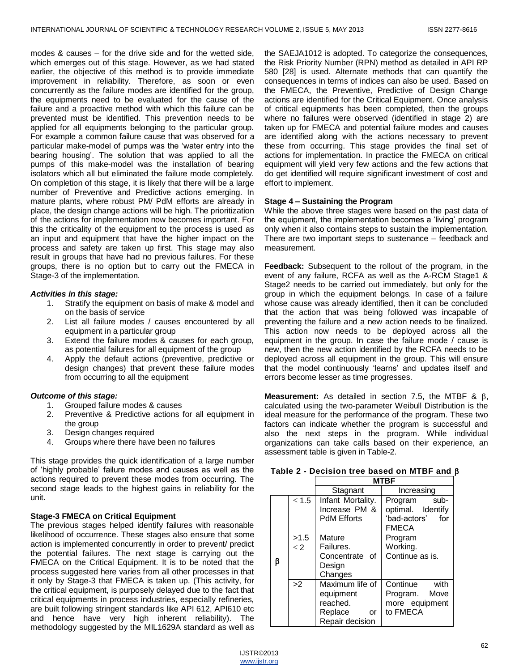modes & causes – for the drive side and for the wetted side, which emerges out of this stage. However, as we had stated earlier, the objective of this method is to provide immediate improvement in reliability. Therefore, as soon or even concurrently as the failure modes are identified for the group, the equipments need to be evaluated for the cause of the failure and a proactive method with which this failure can be prevented must be identified. This prevention needs to be applied for all equipments belonging to the particular group. For example a common failure cause that was observed for a particular make-model of pumps was the 'water entry into the bearing housing'. The solution that was applied to all the pumps of this make-model was the installation of bearing isolators which all but eliminated the failure mode completely. On completion of this stage, it is likely that there will be a large number of Preventive and Predictive actions emerging. In mature plants, where robust PM/ PdM efforts are already in place, the design change actions will be high. The prioritization of the actions for implementation now becomes important. For this the criticality of the equipment to the process is used as an input and equipment that have the higher impact on the process and safety are taken up first. This stage may also result in groups that have had no previous failures. For these groups, there is no option but to carry out the FMECA in Stage-3 of the implementation.

#### *Activities in this stage:*

- 1. Stratify the equipment on basis of make & model and on the basis of service
- 2. List all failure modes / causes encountered by all equipment in a particular group
- 3. Extend the failure modes & causes for each group, as potential failures for all equipment of the group
- 4. Apply the default actions (preventive, predictive or design changes) that prevent these failure modes from occurring to all the equipment

#### *Outcome of this stage:*

- 1. Grouped failure modes & causes
- 2. Preventive & Predictive actions for all equipment in the group
- 3. Design changes required
- 4. Groups where there have been no failures

This stage provides the quick identification of a large number of 'highly probable' failure modes and causes as well as the actions required to prevent these modes from occurring. The second stage leads to the highest gains in reliability for the unit.

#### **Stage-3 FMECA on Critical Equipment**

The previous stages helped identify failures with reasonable likelihood of occurrence. These stages also ensure that some action is implemented concurrently in order to prevent/ predict the potential failures. The next stage is carrying out the FMECA on the Critical Equipment. It is to be noted that the process suggested here varies from all other processes in that it only by Stage-3 that FMECA is taken up. (This activity, for the critical equipment, is purposely delayed due to the fact that critical equipments in process industries, especially refineries, are built following stringent standards like API 612, API610 etc and hence have very high inherent reliability). The methodology suggested by the MIL1629A standard as well as

the SAEJA1012 is adopted. To categorize the consequences, the Risk Priority Number (RPN) method as detailed in API RP 580 [28] is used. Alternate methods that can quantify the consequences in terms of indices can also be used. Based on the FMECA, the Preventive, Predictive of Design Change actions are identified for the Critical Equipment. Once analysis of critical equipments has been completed, then the groups where no failures were observed (identified in stage 2) are taken up for FMECA and potential failure modes and causes are identified along with the actions necessary to prevent these from occurring. This stage provides the final set of actions for implementation. In practice the FMECA on critical equipment will yield very few actions and the few actions that do get identified will require significant investment of cost and effort to implement.

### **Stage 4 – Sustaining the Program**

While the above three stages were based on the past data of the equipment, the implementation becomes a 'living' program only when it also contains steps to sustain the implementation. There are two important steps to sustenance – feedback and measurement.

**Feedback:** Subsequent to the rollout of the program, in the event of any failure, RCFA as well as the A-RCM Stage1 & Stage2 needs to be carried out immediately, but only for the group in which the equipment belongs. In case of a failure whose cause was already identified, then it can be concluded that the action that was being followed was incapable of preventing the failure and a new action needs to be finalized. This action now needs to be deployed across all the equipment in the group. In case the failure mode / cause is new, then the new action identified by the RCFA needs to be deployed across all equipment in the group. This will ensure that the model continuously 'learns' and updates itself and errors become lesser as time progresses.

**Measurement:** As detailed in section 7.5, the MTBF  $\&$   $\beta$ , calculated using the two-parameter Weibull Distribution is the ideal measure for the performance of the program. These two factors can indicate whether the program is successful and also the next steps in the program. While individual organizations can take calls based on their experience, an assessment table is given in Table-2.

#### **Table 2 - Decision tree based on MTBF and**

|   |                  |                                                                              | <b>MTBF</b>                                                              |  |
|---|------------------|------------------------------------------------------------------------------|--------------------------------------------------------------------------|--|
|   |                  | Stagnant                                                                     | Increasing                                                               |  |
| β | $≤ 1.5$          | Infant Mortality.<br>Increase PM &<br><b>PdM Efforts</b>                     | sub-<br>Program<br>optimal. Identify<br>'bad-actors' for<br><b>FMECA</b> |  |
|   | >1.5<br>$\leq$ 2 | Mature<br>Failures.<br>Concentrate of<br>Design<br>Changes                   | Program<br>Working.<br>Continue as is.                                   |  |
|   | >2               | Maximum life of<br>equipment<br>reached.<br>Replace<br>or<br>Repair decision | Continue<br>with<br>Program. Move<br>more equipment<br>to FMECA          |  |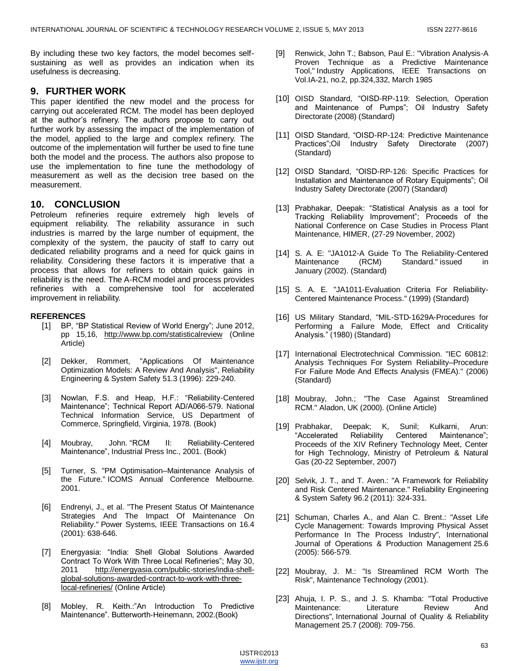By including these two key factors, the model becomes selfsustaining as well as provides an indication when its usefulness is decreasing.

# **9. FURTHER WORK**

This paper identified the new model and the process for carrying out accelerated RCM. The model has been deployed at the author's refinery. The authors propose to carry out further work by assessing the impact of the implementation of the model, applied to the large and complex refinery. The outcome of the implementation will further be used to fine tune both the model and the process. The authors also propose to use the implementation to fine tune the methodology of measurement as well as the decision tree based on the measurement.

# **10. CONCLUSION**

Petroleum refineries require extremely high levels of equipment reliability. The reliability assurance in such industries is marred by the large number of equipment, the complexity of the system, the paucity of staff to carry out dedicated reliability programs and a need for quick gains in reliability. Considering these factors it is imperative that a process that allows for refiners to obtain quick gains in reliability is the need. The A-RCM model and process provides refineries with a comprehensive tool for accelerated improvement in reliability.

## **REFERENCES**

- [1] BP, "BP Statistical Review of World Energy"; June 2012, pp 15,16, <http://www.bp.com/statisticalreview> (Online Article)
- [2] Dekker, Rommert, "Applications Of Maintenance Optimization Models: A Review And Analysis", Reliability Engineering & System Safety 51.3 (1996): 229-240.
- [3] Nowlan, F.S. and Heap, H.F.: "Reliability-Centered Maintenance"; Technical Report AD/A066-579. National Technical Information Service, US Department of Commerce, Springfield, Virginia, 1978. (Book)
- [4] Moubray, John. "RCM II: Reliability-Centered Maintenance", Industrial Press Inc., 2001. (Book)
- [5] Turner, S. "PM Optimisation–Maintenance Analysis of the Future." ICOMS Annual Conference Melbourne. 2001.
- [6] Endrenyi, J., et al. "The Present Status Of Maintenance Strategies And The Impact Of Maintenance On Reliability." Power Systems, IEEE Transactions on 16.4 (2001): 638-646.
- [7] Energyasia: "India: Shell Global Solutions Awarded Contract To Work With Three Local Refineries"; May 30, 2011 [http://energyasia.com/public-stories/india-shell](http://energyasia.com/public-stories/india-shell-global-solutions-awarded-contract-to-work-with-three-local-refineries/)[global-solutions-awarded-contract-to-work-with-three](http://energyasia.com/public-stories/india-shell-global-solutions-awarded-contract-to-work-with-three-local-refineries/)[local-refineries/](http://energyasia.com/public-stories/india-shell-global-solutions-awarded-contract-to-work-with-three-local-refineries/) (Online Article)
- [8] Mobley, R. Keith.:"An Introduction To Predictive Maintenance". Butterworth-Heinemann, 2002.(Book)
- [9] Renwick, John T.; Babson, Paul E.: "Vibration Analysis-A Proven Technique as a Predictive Maintenance Tool," Industry Applications, IEEE Transactions on Vol.IA-21, no.2, pp.324,332, March 1985
- [10] OISD Standard, "OISD-RP-119: Selection, Operation and Maintenance of Pumps"; Oil Industry Safety Directorate (2008) (Standard)
- [11] OISD Standard, "OISD-RP-124: Predictive Maintenance Practices";Oil Industry Safety Directorate (2007) (Standard)
- [12] OISD Standard, "OISD-RP-126: Specific Practices for Installation and Maintenance of Rotary Equipments"; Oil Industry Safety Directorate (2007) (Standard)
- [13] Prabhakar, Deepak: "Statistical Analysis as a tool for Tracking Reliability Improvement"; Proceeds of the National Conference on Case Studies in Process Plant Maintenance, HIMER, (27-29 November, 2002)
- [14] S. A. E: "JA1012-A Guide To The Reliability-Centered Maintenance (RCM) Standard." issued in January (2002). (Standard)
- [15] S. A. E. "JA1011-Evaluation Criteria For Reliability-Centered Maintenance Process." (1999) (Standard)
- [16] US Military Standard, "MIL-STD-1629A-Procedures for Performing a Failure Mode, Effect and Criticality Analysis." (1980) (Standard)
- [17] International Electrotechnical Commission. "IEC 60812: Analysis Techniques For System Reliability–Procedure For Failure Mode And Effects Analysis (FMEA)." (2006) (Standard)
- [18] Moubray, John.; "The Case Against Streamlined RCM." Aladon, UK (2000). (Online Article)
- [19] Prabhakar, Deepak; K, Sunil; Kulkarni, Arun: "Accelerated Reliability Centered Maintenance"; Proceeds of the XIV Refinery Technology Meet, Center for High Technology, Ministry of Petroleum & Natural Gas (20-22 September, 2007)
- [20] Selvik, J. T., and T. Aven.: "A Framework for Reliability and Risk Centered Maintenance." Reliability Engineering & System Safety 96.2 (2011): 324-331.
- [21] Schuman, Charles A., and Alan C. Brent.: "Asset Life Cycle Management: Towards Improving Physical Asset Performance In The Process Industry", International Journal of Operations & Production Management 25.6 (2005): 566-579.
- [22] Moubray, J. M.: "Is Streamlined RCM Worth The Risk", Maintenance Technology (2001).
- [23] Ahuja, I. P. S., and J. S. Khamba: "Total Productive Maintenance: Literature Review And Directions", International Journal of Quality & Reliability Management 25.7 (2008): 709-756.